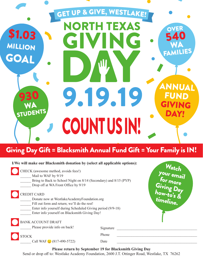## GET UP & GIVE, WESTLAKE! AS ER \$1.03 540 WA MILLION FAMILIES GOAL ANNU 9.19.19 930 FUND GIVING WA STUDENTS DAY! COUNT US IN!

# Giving Day Gift = Blacksmith Annual Fund Gift = Your Family is IN!

| I/We will make our Blacksmith donation by (select all applicable options): |           | Watch               |
|----------------------------------------------------------------------------|-----------|---------------------|
| CHECK (awesome method, avoids fees!)                                       |           |                     |
| Mail to WAF by 9/19                                                        |           | <i>Your email</i>   |
| Bring to Back to School Night on 8/14 (Secondary) and 8/15 (PYP)           |           |                     |
| Drop off at WA Front Office by 9/19                                        |           |                     |
| <b>CREDIT CARD</b>                                                         |           | B Day<br>how-to's & |
| Donate now at WestlakeAcademyFoundation.org                                |           |                     |
| Fill out form and return; we'll do the rest!                               |           | timeline.           |
| Enter info yourself during Scheduled Giving period (9/9-18)                |           |                     |
| Enter info yourself on Blacksmith Giving Day!                              |           |                     |
| <b>BANK ACCOUNT DRAFT</b>                                                  |           |                     |
|                                                                            |           |                     |
| Please provide info on back!                                               | Signature |                     |
| <b>STOCK</b>                                                               | Phone     |                     |
| Call WAF $\bigcirc$ (817-490-5722)                                         | Date      |                     |

## **Please return by September 19 for Blacksmith Giving Day**

Send or drop off to: Westlake Academy Foundation, 2600 J.T. Ottinger Road, Westlake, TX 76262